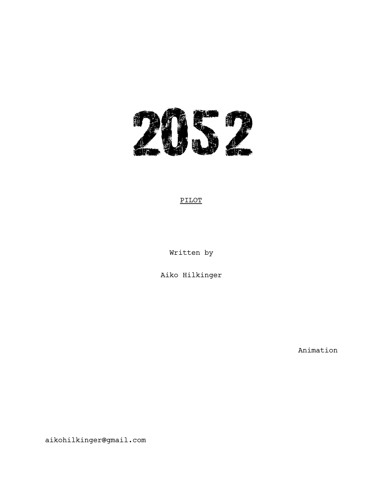

# PILOT

Written by

Aiko Hilkinger

Animation

aikohilkinger@gmail.com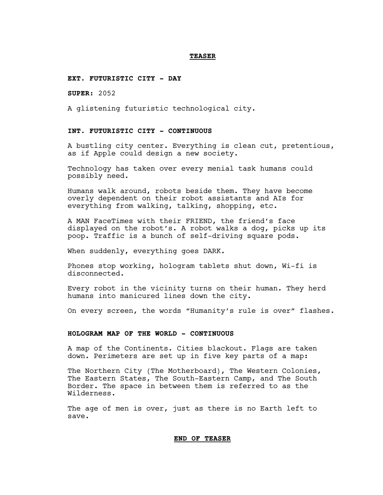#### **TEASER**

#### **EXT. FUTURISTIC CITY - DAY**

**SUPER**: 2052

A glistening futuristic technological city.

### **INT. FUTURISTIC CITY - CONTINUOUS**

A bustling city center. Everything is clean cut, pretentious, as if Apple could design a new society.

Technology has taken over every menial task humans could possibly need.

Humans walk around, robots beside them. They have become overly dependent on their robot assistants and AIs for everything from walking, talking, shopping, etc.

A MAN FaceTimes with their FRIEND, the friend's face displayed on the robot's. A robot walks a dog, picks up its poop. Traffic is a bunch of self-driving square pods.

When suddenly, everything goes DARK.

Phones stop working, hologram tablets shut down, Wi-fi is disconnected.

Every robot in the vicinity turns on their human. They herd humans into manicured lines down the city.

On every screen, the words "Humanity's rule is over" flashes.

### **HOLOGRAM MAP OF THE WORLD - CONTINUOUS**

A map of the Continents. Cities blackout. Flags are taken down. Perimeters are set up in five key parts of a map:

The Northern City (The Motherboard), The Western Colonies, The Eastern States, The South-Eastern Camp, and The South Border. The space in between them is referred to as the Wilderness.

The age of men is over, just as there is no Earth left to save.

#### **END OF TEASER**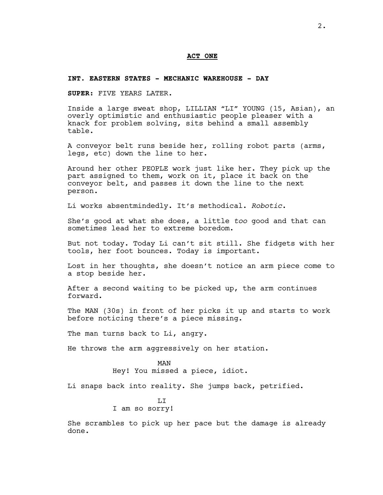#### **ACT ONE**

#### **INT. EASTERN STATES - MECHANIC WAREHOUSE - DAY**

**SUPER**: FIVE YEARS LATER.

Inside a large sweat shop, LILLIAN "LI" YOUNG (15, Asian), an overly optimistic and enthusiastic people pleaser with a knack for problem solving, sits behind a small assembly table.

A conveyor belt runs beside her, rolling robot parts (arms, legs, etc) down the line to her.

Around her other PEOPLE work just like her. They pick up the part assigned to them, work on it, place it back on the conveyor belt, and passes it down the line to the next person.

Li works absentmindedly. It's methodical. *Robotic*.

She's good at what she does, a little *too* good and that can sometimes lead her to extreme boredom.

But not today. Today Li can't sit still. She fidgets with her tools, her foot bounces. Today is important.

Lost in her thoughts, she doesn't notice an arm piece come to a stop beside her.

After a second waiting to be picked up, the arm continues forward.

The MAN (30s) in front of her picks it up and starts to work before noticing there's a piece missing.

The man turns back to Li, angry.

He throws the arm aggressively on her station.

MAN Hey! You missed a piece, idiot.

Li snaps back into reality. She jumps back, petrified.

T<sub>I</sub>T I am so sorry!

She scrambles to pick up her pace but the damage is already done.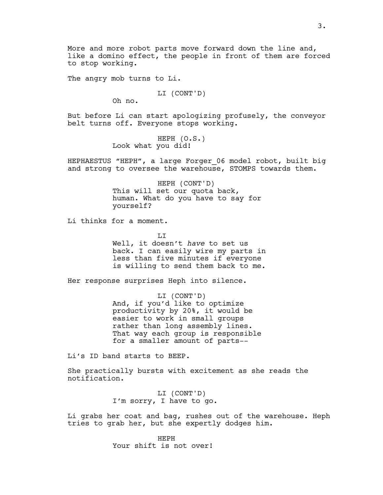The angry mob turns to Li.

LI (CONT'D)

Oh no.

But before Li can start apologizing profusely, the conveyor belt turns off. Everyone stops working.

> HEPH (O.S.) Look what you did!

HEPHAESTUS "HEPH", a large Forger\_06 model robot, built big and strong to oversee the warehouse, STOMPS towards them.

> HEPH (CONT'D) This will set our quota back, human. What do you have to say for yourself?

Li thinks for a moment.

T<sub>I</sub>T Well, it doesn't *have* to set us back. I can easily wire my parts in less than five minutes if everyone is willing to send them back to me.

Her response surprises Heph into silence.

LI (CONT'D) And, if you'd like to optimize productivity by 20%, it would be easier to work in small groups rather than long assembly lines. That way each group is responsible for a smaller amount of parts--

Li's ID band starts to BEEP.

She practically bursts with excitement as she reads the notification.

> LI (CONT'D) I'm sorry, I have to go.

Li grabs her coat and bag, rushes out of the warehouse. Heph tries to grab her, but she expertly dodges him.

> HEPH Your shift is not over!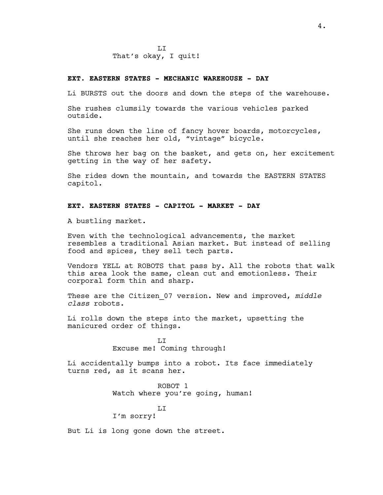### **EXT. EASTERN STATES - MECHANIC WAREHOUSE - DAY**

Li BURSTS out the doors and down the steps of the warehouse.

She rushes clumsily towards the various vehicles parked outside.

She runs down the line of fancy hover boards, motorcycles, until she reaches her old, "vintage" bicycle.

She throws her bag on the basket, and gets on, her excitement getting in the way of her safety.

She rides down the mountain, and towards the EASTERN STATES capitol.

# **EXT. EASTERN STATES - CAPITOL - MARKET - DAY**

A bustling market.

Even with the technological advancements, the market resembles a traditional Asian market. But instead of selling food and spices, they sell tech parts.

Vendors YELL at ROBOTS that pass by. All the robots that walk this area look the same, clean cut and emotionless. Their corporal form thin and sharp.

These are the Citizen\_07 version. New and improved, *middle class* robots.

Li rolls down the steps into the market, upsetting the manicured order of things.

> T.T Excuse me! Coming through!

Li accidentally bumps into a robot. Its face immediately turns red, as it scans her.

> ROBOT 1 Watch where you're going, human!

LI I'm sorry!

But Li is long gone down the street.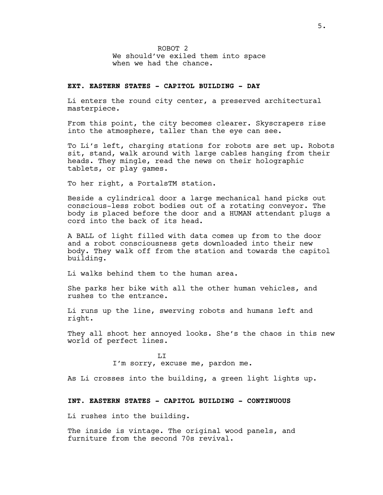ROBOT 2 We should've exiled them into space when we had the chance.

# **EXT. EASTERN STATES - CAPITOL BUILDING - DAY**

Li enters the round city center, a preserved architectural masterpiece.

From this point, the city becomes clearer. Skyscrapers rise into the atmosphere, taller than the eye can see.

To Li's left, charging stations for robots are set up. Robots sit, stand, walk around with large cables hanging from their heads. They mingle, read the news on their holographic tablets, or play games.

To her right, a PortalsTM station.

Beside a cylindrical door a large mechanical hand picks out conscious-less robot bodies out of a rotating conveyor. The body is placed before the door and a HUMAN attendant plugs a cord into the back of its head.

A BALL of light filled with data comes up from to the door and a robot consciousness gets downloaded into their new body. They walk off from the station and towards the capitol building.

Li walks behind them to the human area.

She parks her bike with all the other human vehicles, and rushes to the entrance.

Li runs up the line, swerving robots and humans left and right.

They all shoot her annoyed looks. She's the chaos in this new world of perfect lines.

> LI I'm sorry, excuse me, pardon me.

As Li crosses into the building, a green light lights up.

### **INT. EASTERN STATES - CAPITOL BUILDING - CONTINUOUS**

Li rushes into the building.

The inside is vintage. The original wood panels, and furniture from the second 70s revival.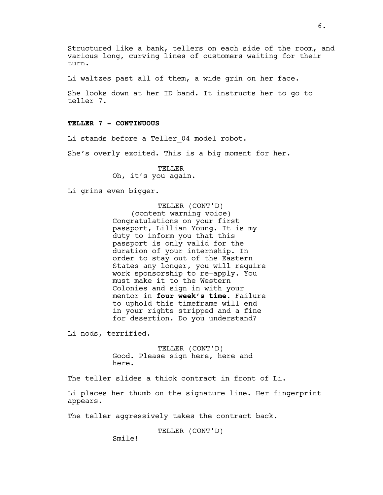Structured like a bank, tellers on each side of the room, and various long, curving lines of customers waiting for their turn.

Li waltzes past all of them, a wide grin on her face.

She looks down at her ID band. It instructs her to go to teller 7.

### **TELLER 7 - CONTINUOUS**

Li stands before a Teller 04 model robot.

She's overly excited. This is a big moment for her.

TELLER Oh, it's you again.

Li grins even bigger.

TELLER (CONT'D) (content warning voice) Congratulations on your first passport, Lillian Young. It is my duty to inform you that this passport is only valid for the duration of your internship. In order to stay out of the Eastern States any longer, you will require work sponsorship to re-apply. You must make it to the Western Colonies and sign in with your mentor in **four week's time**. Failure to uphold this timeframe will end in your rights stripped and a fine for desertion. Do you understand?

Li nods, terrified.

TELLER (CONT'D) Good. Please sign here, here and here.

The teller slides a thick contract in front of Li.

Li places her thumb on the signature line. Her fingerprint appears.

The teller aggressively takes the contract back.

TELLER (CONT'D)

Smile!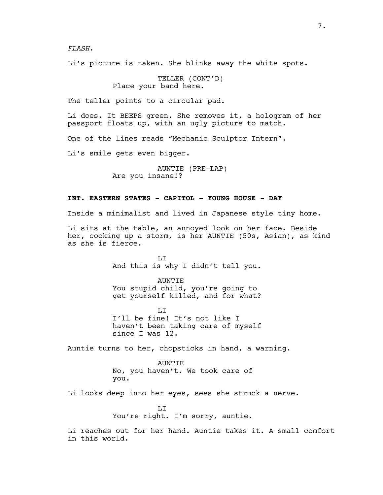*FLASH*.

Li's picture is taken. She blinks away the white spots.

TELLER (CONT'D) Place your band here.

The teller points to a circular pad.

Li does. It BEEPS green. She removes it, a hologram of her passport floats up, with an ugly picture to match.

One of the lines reads "Mechanic Sculptor Intern".

Li's smile gets even bigger.

AUNTIE (PRE-LAP) Are you insane!?

### **INT. EASTERN STATES - CAPITOL - YOUNG HOUSE - DAY**

Inside a minimalist and lived in Japanese style tiny home.

Li sits at the table, an annoyed look on her face. Beside her, cooking up a storm, is her AUNTIE (50s, Asian), as kind as she is fierce.

> LI And this is why I didn't tell you.

> AUNTIE You stupid child, you're going to get yourself killed, and for what?

> $T_{\rm L}$ I'll be fine! It's not like I haven't been taking care of myself since I was 12.

Auntie turns to her, chopsticks in hand, a warning.

AUNTIE No, you haven't. We took care of you.

Li looks deep into her eyes, sees she struck a nerve.

T.T You're right. I'm sorry, auntie.

Li reaches out for her hand. Auntie takes it. A small comfort in this world.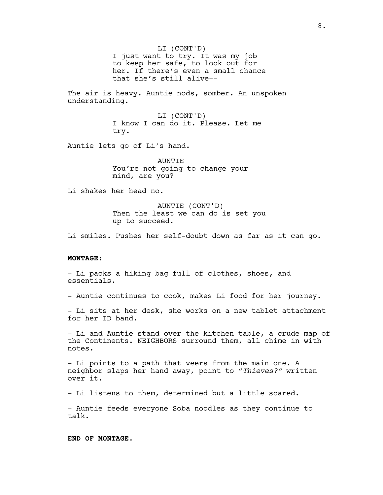LI (CONT'D) I just want to try. It was my job to keep her safe, to look out for her. If there's even a small chance that she's still alive--

The air is heavy. Auntie nods, somber. An unspoken understanding.

> LI (CONT'D) I know I can do it. Please. Let me try.

Auntie lets go of Li's hand.

**AUNTIE** You're not going to change your mind, are you?

Li shakes her head no.

AUNTIE (CONT'D) Then the least we can do is set you up to succeed.

Li smiles. Pushes her self-doubt down as far as it can go.

### **MONTAGE:**

- Li packs a hiking bag full of clothes, shoes, and essentials.

- Auntie continues to cook, makes Li food for her journey.

- Li sits at her desk, she works on a new tablet attachment for her ID band.

- Li and Auntie stand over the kitchen table, a crude map of the Continents. NEIGHBORS surround them, all chime in with notes.

- Li points to a path that veers from the main one. A neighbor slaps her hand away, point to "*Thieves?"* written over it.

- Li listens to them, determined but a little scared.

- Auntie feeds everyone Soba noodles as they continue to talk.

**END OF MONTAGE.**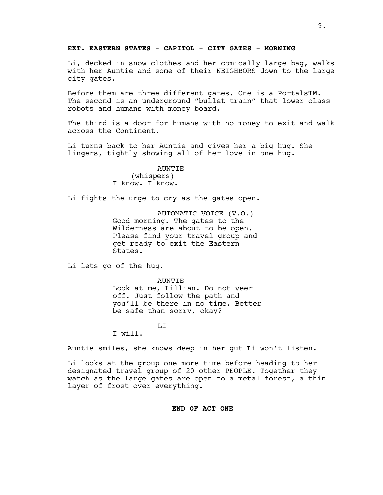### **EXT. EASTERN STATES - CAPITOL - CITY GATES - MORNING**

Li, decked in snow clothes and her comically large bag, walks with her Auntie and some of their NEIGHBORS down to the large city gates.

Before them are three different gates. One is a PortalsTM. The second is an underground "bullet train" that lower class robots and humans with money board.

The third is a door for humans with no money to exit and walk across the Continent.

Li turns back to her Auntie and gives her a big hug. She lingers, tightly showing all of her love in one hug.

> AUNTIE (whispers) I know. I know.

Li fights the urge to cry as the gates open.

AUTOMATIC VOICE (V.O.) Good morning. The gates to the Wilderness are about to be open. Please find your travel group and get ready to exit the Eastern States.

Li lets go of the hug.

**AUNTIE** Look at me, Lillian. Do not veer off. Just follow the path and you'll be there in no time. Better be safe than sorry, okay?

LI

I will.

Auntie smiles, she knows deep in her gut Li won't listen.

Li looks at the group one more time before heading to her designated travel group of 20 other PEOPLE. Together they watch as the large gates are open to a metal forest, a thin layer of frost over everything.

### **END OF ACT ONE**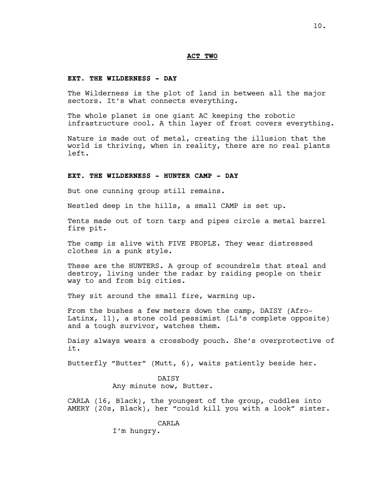### **ACT TWO**

#### **EXT. THE WILDERNESS - DAY**

The Wilderness is the plot of land in between all the major sectors. It's what connects everything.

The whole planet is one giant AC keeping the robotic infrastructure cool. A thin layer of frost covers everything.

Nature is made out of metal, creating the illusion that the world is thriving, when in reality, there are no real plants left.

### **EXT. THE WILDERNESS - HUNTER CAMP - DAY**

But one cunning group still remains.

Nestled deep in the hills, a small CAMP is set up.

Tents made out of torn tarp and pipes circle a metal barrel fire pit.

The camp is alive with FIVE PEOPLE. They wear distressed clothes in a punk style.

These are the HUNTERS. A group of scoundrels that steal and destroy, living under the radar by raiding people on their way to and from big cities.

They sit around the small fire, warming up.

From the bushes a few meters down the camp, DAISY (Afro-Latinx, 11), a stone cold pessimist (Li's complete opposite) and a tough survivor, watches them.

Daisy always wears a crossbody pouch. She's overprotective of it.

Butterfly "Butter" (Mutt, 6), waits patiently beside her.

#### **DATSY**

Any minute now, Butter.

CARLA (16, Black), the youngest of the group, cuddles into AMERY (20s, Black), her "could kill you with a look" sister.

CARLA

I'm hungry.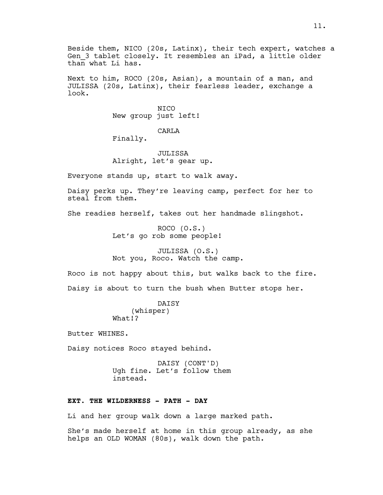Beside them, NICO (20s, Latinx), their tech expert, watches a Gen 3 tablet closely. It resembles an iPad, a little older  $than$  what Li has.

Next to him, ROCO (20s, Asian), a mountain of a man, and JULISSA (20s, Latinx), their fearless leader, exchange a look.

> NICO New group just left!

### CARLA

Finally.

JULISSA Alright, let's gear up.

Everyone stands up, start to walk away.

Daisy perks up. They're leaving camp, perfect for her to steal from them.

She readies herself, takes out her handmade slingshot.

ROCO (O.S.) Let's go rob some people!

JULISSA (O.S.) Not you, Roco. Watch the camp.

Roco is not happy about this, but walks back to the fire. Daisy is about to turn the bush when Butter stops her.

> DAISY (whisper) What!?

Butter WHINES.

Daisy notices Roco stayed behind.

DAISY (CONT'D) Ugh fine. Let's follow them instead.

### **EXT. THE WILDERNESS - PATH - DAY**

Li and her group walk down a large marked path.

She's made herself at home in this group already, as she helps an OLD WOMAN (80s), walk down the path.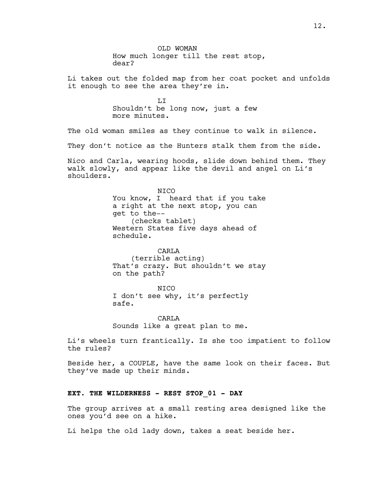OLD WOMAN How much longer till the rest stop, dear? Li takes out the folded map from her coat pocket and unfolds it enough to see the area they're in. LI Shouldn't be long now, just a few more minutes. The old woman smiles as they continue to walk in silence. They don't notice as the Hunters stalk them from the side. Nico and Carla, wearing hoods, slide down behind them. They walk slowly, and appear like the devil and angel on Li's shoulders. NICO You know, I heard that if you take a right at the next stop, you can get to the-- (checks tablet) Western States five days ahead of schedule. CARLA (terrible acting) That's crazy. But shouldn't we stay on the path? NICO I don't see why, it's perfectly safe. CARLA Sounds like a great plan to me. Li's wheels turn frantically. Is she too impatient to follow the rules? Beside her, a COUPLE, have the same look on their faces. But they've made up their minds. **EXT. THE WILDERNESS - REST STOP\_01 - DAY**

The group arrives at a small resting area designed like the ones you'd see on a hike.

Li helps the old lady down, takes a seat beside her.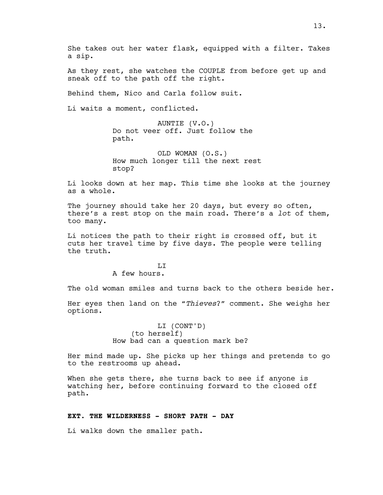She takes out her water flask, equipped with a filter. Takes a sip.

As they rest, she watches the COUPLE from before get up and sneak off to the path off the right.

Behind them, Nico and Carla follow suit.

Li waits a moment, conflicted.

AUNTIE (V.O.) Do not veer off. Just follow the path.

OLD WOMAN (O.S.) How much longer till the next rest stop?

Li looks down at her map. This time she looks at the journey as a whole.

The journey should take her 20 days, but every so often, there's a rest stop on the main road. There's a *lot* of them, too many.

Li notices the path to their right is crossed off, but it cuts her travel time by five days. The people were telling the truth.

> LI A few hours.

The old woman smiles and turns back to the others beside her.

Her eyes then land on the "*Thieves*?" comment. She weighs her options.

> LI (CONT'D) (to herself) How bad can a question mark be?

Her mind made up. She picks up her things and pretends to go to the restrooms up ahead.

When she gets there, she turns back to see if anyone is watching her, before continuing forward to the closed off path.

### **EXT. THE WILDERNESS - SHORT PATH - DAY**

Li walks down the smaller path.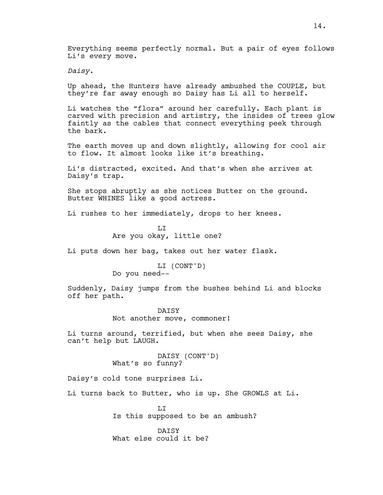Everything seems perfectly normal. But a pair of eyes follows Li's every move.

*Daisy*.

Up ahead, the Hunters have already ambushed the COUPLE, but they're far away enough so Daisy has Li all to herself.

Li watches the "flora" around her carefully. Each plant is carved with precision and artistry, the insides of trees glow faintly as the cables that connect everything peek through the bark.

The earth moves up and down slightly, allowing for cool air to flow. It almost looks like it's breathing.

Li's distracted, excited. And that's when she arrives at Daisy's trap.

She stops abruptly as she notices Butter on the ground. Butter WHINES like a good actress.

Li rushes to her immediately, drops to her knees.

T<sub>I</sub>T Are you okay, little one?

Li puts down her bag, takes out her water flask.

LI (CONT'D) Do you need--

Suddenly, Daisy jumps from the bushes behind Li and blocks off her path.

> **DATSY** Not another move, commoner!

Li turns around, terrified, but when she sees Daisy, she can't help but LAUGH.

> DAISY (CONT'D) What's so funny?

Daisy's cold tone surprises Li.

Li turns back to Butter, who is up. She GROWLS at Li.

T.T Is this supposed to be an ambush?

DATSY What else could it be?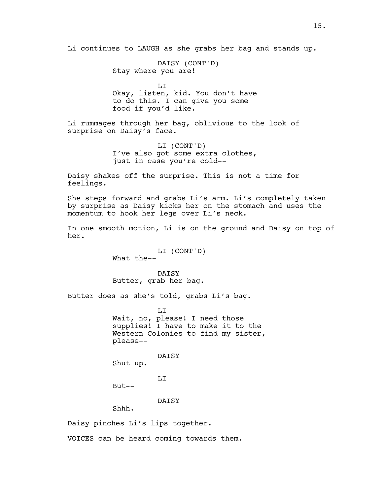Li continues to LAUGH as she grabs her bag and stands up.

DAISY (CONT'D) Stay where you are!

LI Okay, listen, kid. You don't have to do this. I can give you some food if you'd like.

Li rummages through her bag, oblivious to the look of surprise on Daisy's face.

> LI (CONT'D) I've also got some extra clothes, just in case you're cold--

Daisy shakes off the surprise. This is not a time for feelings.

She steps forward and grabs Li's arm. Li's completely taken by surprise as Daisy kicks her on the stomach and uses the momentum to hook her legs over Li's neck.

In one smooth motion, Li is on the ground and Daisy on top of her.

> LI (CONT'D) What the--

DAISY Butter, grab her bag.

Butter does as she's told, grabs Li's bag.

T<sub>I</sub>T Wait, no, please! I need those supplies! I have to make it to the Western Colonies to find my sister, please--

DAISY

Shut up.

LI

But--

DAISY

Shhh.

Daisy pinches Li's lips together.

VOICES can be heard coming towards them.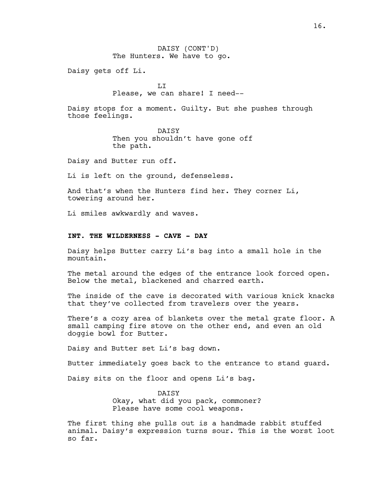Daisy gets off Li.

 $T_{\rm L}$ Please, we can share! I need--

Daisy stops for a moment. Guilty. But she pushes through those feelings.

> DATSY Then you shouldn't have gone off the path.

Daisy and Butter run off.

Li is left on the ground, defenseless.

And that's when the Hunters find her. They corner Li, towering around her.

Li smiles awkwardly and waves.

### **INT. THE WILDERNESS - CAVE - DAY**

Daisy helps Butter carry Li's bag into a small hole in the mountain.

The metal around the edges of the entrance look forced open. Below the metal, blackened and charred earth.

The inside of the cave is decorated with various knick knacks that they've collected from travelers over the years.

There's a cozy area of blankets over the metal grate floor. A small camping fire stove on the other end, and even an old doggie bowl for Butter.

Daisy and Butter set Li's bag down.

Butter immediately goes back to the entrance to stand guard.

Daisy sits on the floor and opens Li's bag.

DATSY Okay, what did you pack, commoner? Please have some cool weapons.

The first thing she pulls out is a handmade rabbit stuffed animal. Daisy's expression turns sour. This is the worst loot so far.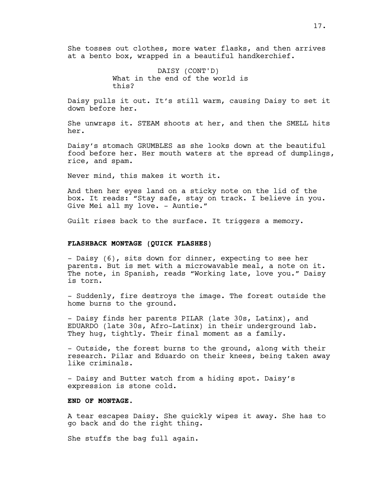She tosses out clothes, more water flasks, and then arrives at a bento box, wrapped in a beautiful handkerchief.

> DAISY (CONT'D) What in the end of the world is this?

Daisy pulls it out. It's still warm, causing Daisy to set it down before her.

She unwraps it. STEAM shoots at her, and then the SMELL hits her.

Daisy's stomach GRUMBLES as she looks down at the beautiful food before her. Her mouth waters at the spread of dumplings, rice, and spam.

Never mind, this makes it worth it.

And then her eyes land on a sticky note on the lid of the box. It reads: "Stay safe, stay on track. I believe in you. Give Mei all my love. - Auntie."

Guilt rises back to the surface. It triggers a memory.

#### **FLASHBACK MONTAGE (QUICK FLASHES)**

- Daisy (6), sits down for dinner, expecting to see her parents. But is met with a microwavable meal, a note on it. The note, in Spanish, reads "Working late, love you." Daisy is torn.

- Suddenly, fire destroys the image. The forest outside the home burns to the ground.

- Daisy finds her parents PILAR (late 30s, Latinx), and EDUARDO (late 30s, Afro-Latinx) in their underground lab. They hug, tightly. Their final moment as a family.

- Outside, the forest burns to the ground, along with their research. Pilar and Eduardo on their knees, being taken away like criminals.

- Daisy and Butter watch from a hiding spot. Daisy's expression is stone cold.

### **END OF MONTAGE.**

A tear escapes Daisy. She quickly wipes it away. She has to go back and do the right thing.

She stuffs the bag full again.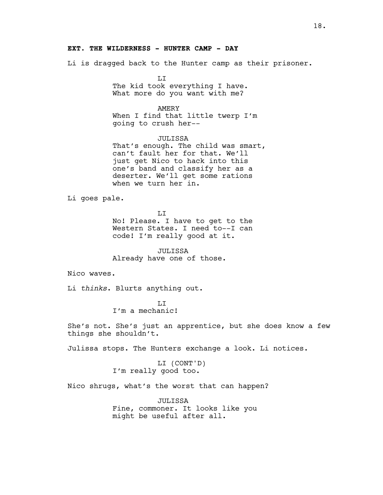### **EXT. THE WILDERNESS - HUNTER CAMP - DAY**

Li is dragged back to the Hunter camp as their prisoner.

LI The kid took everything I have. What more do you want with me?

### AMERY

When I find that little twerp I'm going to crush her--

### JULISSA

That's enough. The child was smart, can't fault her for that. We'll just get Nico to hack into this one's band and classify her as a deserter. We'll get some rations when we turn her in.

Li goes pale.

LI

No! Please. I have to get to the Western States. I need to--I can code! I'm really good at it.

JULISSA Already have one of those.

Nico waves.

Li *thinks*. Blurts anything out.

LI I'm a mechanic!

She's not. She's just an apprentice, but she does know a few things she shouldn't.

Julissa stops. The Hunters exchange a look. Li notices.

LI (CONT'D) I'm really good too.

Nico shrugs, what's the worst that can happen?

JULISSA Fine, commoner. It looks like you might be useful after all.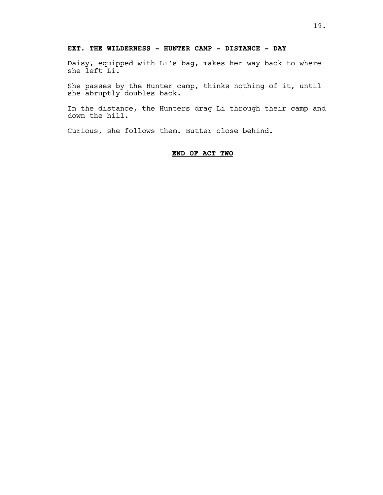# **EXT. THE WILDERNESS - HUNTER CAMP - DISTANCE - DAY**

Daisy, equipped with Li's bag, makes her way back to where she left Li.

She passes by the Hunter camp, thinks nothing of it, until she abruptly doubles back.

In the distance, the Hunters drag Li through their camp and down the hill.

Curious, she follows them. Butter close behind.

### **END OF ACT TWO**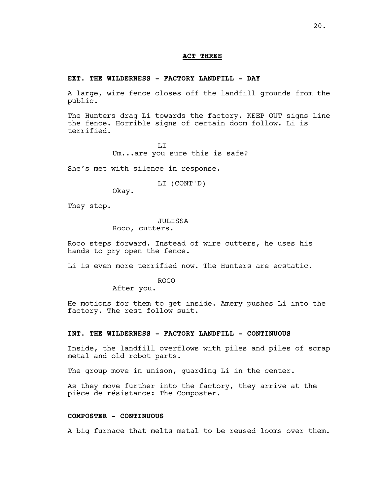#### **ACT THREE**

#### **EXT. THE WILDERNESS - FACTORY LANDFILL - DAY**

A large, wire fence closes off the landfill grounds from the public.

The Hunters drag Li towards the factory. KEEP OUT signs line the fence. Horrible signs of certain doom follow. Li is terrified.

> $T_{\rm L}$ Um...are you sure this is safe?

She's met with silence in response.

LI (CONT'D)

Okay.

They stop.

#### JULISSA

Roco, cutters.

Roco steps forward. Instead of wire cutters, he uses his hands to pry open the fence.

Li is even more terrified now. The Hunters are ecstatic.

ROCO

After you.

He motions for them to get inside. Amery pushes Li into the factory. The rest follow suit.

### **INT. THE WILDERNESS - FACTORY LANDFILL - CONTINUOUS**

Inside, the landfill overflows with piles and piles of scrap metal and old robot parts.

The group move in unison, guarding Li in the center.

As they move further into the factory, they arrive at the pièce de résistance: The Composter.

# **COMPOSTER - CONTINUOUS**

A big furnace that melts metal to be reused looms over them.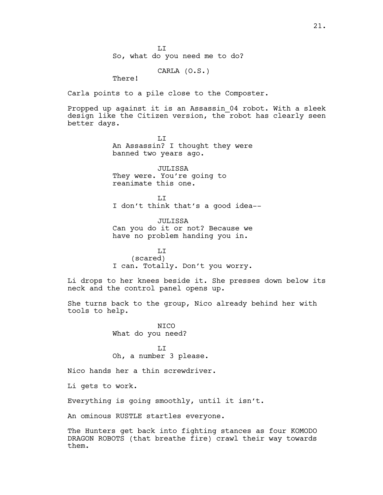$T_{\rm L}$ So, what do you need me to do?

CARLA (O.S.)

There!

Carla points to a pile close to the Composter.

Propped up against it is an Assassin\_04 robot. With a sleek design like the Citizen version, the robot has clearly seen better days.

> LI An Assassin? I thought they were banned two years ago.

JULISSA They were. You're going to reanimate this one.

T<sub>I</sub>T I don't think that's a good idea--

JULISSA Can you do it or not? Because we have no problem handing you in.

LI (scared) I can. Totally. Don't you worry.

Li drops to her knees beside it. She presses down below its neck and the control panel opens up.

She turns back to the group, Nico already behind her with tools to help.

> NICO What do you need?

LI Oh, a number 3 please.

Nico hands her a thin screwdriver.

Li gets to work.

Everything is going smoothly, until it isn't.

An ominous RUSTLE startles everyone.

The Hunters get back into fighting stances as four KOMODO DRAGON ROBOTS (that breathe fire) crawl their way towards them.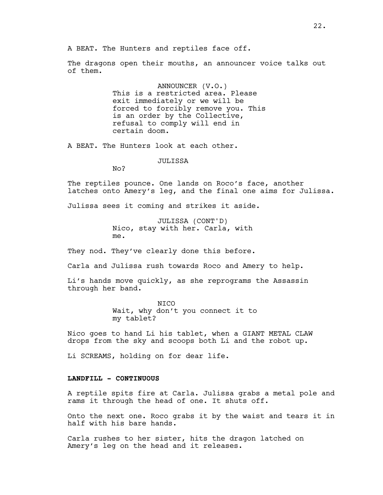A BEAT. The Hunters and reptiles face off.

The dragons open their mouths, an announcer voice talks out of them.

> ANNOUNCER (V.O.) This is a restricted area. Please exit immediately or we will be forced to forcibly remove you. This is an order by the Collective, refusal to comply will end in certain doom.

A BEAT. The Hunters look at each other.

**JULISSA** 

No?

The reptiles pounce. One lands on Roco's face, another latches onto Amery's leg, and the final one aims for Julissa.

Julissa sees it coming and strikes it aside.

JULISSA (CONT'D) Nico, stay with her. Carla, with me.

They nod. They've clearly done this before.

Carla and Julissa rush towards Roco and Amery to help.

Li's hands move quickly, as she reprograms the Assassin through her band.

> NICO Wait, why don't you connect it to my tablet?

Nico goes to hand Li his tablet, when a GIANT METAL CLAW drops from the sky and scoops both Li and the robot up.

Li SCREAMS, holding on for dear life.

# **LANDFILL - CONTINUOUS**

A reptile spits fire at Carla. Julissa grabs a metal pole and rams it through the head of one. It shuts off.

Onto the next one. Roco grabs it by the waist and tears it in half with his bare hands.

Carla rushes to her sister, hits the dragon latched on Amery's leg on the head and it releases.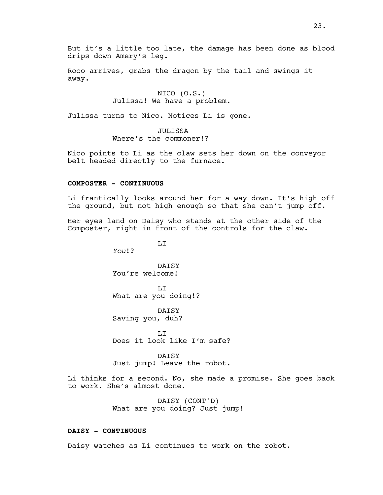But it's a little too late, the damage has been done as blood drips down Amery's leg.

Roco arrives, grabs the dragon by the tail and swings it away.

# NICO (O.S.) Julissa! We have a problem.

Julissa turns to Nico. Notices Li is gone.

JULISSA Where's the commoner!?

Nico points to Li as the claw sets her down on the conveyor belt headed directly to the furnace.

#### **COMPOSTER - CONTINUOUS**

Li frantically looks around her for a way down. It's high off the ground, but not high enough so that she can't jump off.

Her eyes land on Daisy who stands at the other side of the Composter, right in front of the controls for the claw.

LI

*You*!?

**DATSY** You're welcome!

LI What are you doing!?

DAISY Saving you, duh?

LI Does it look like I'm safe?

DAISY Just jump! Leave the robot.

Li thinks for a second. No, she made a promise. She goes back to work. She's almost done.

> DAISY (CONT'D) What are you doing? Just jump!

#### **DAISY - CONTINUOUS**

Daisy watches as Li continues to work on the robot.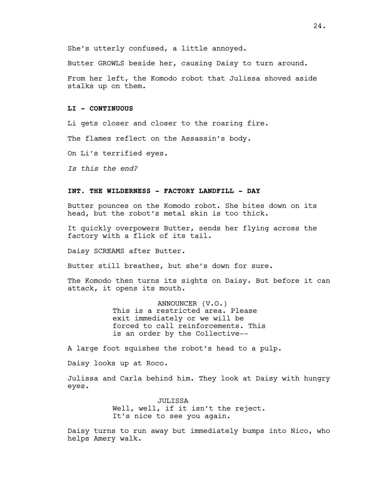She's utterly confused, a little annoyed.

Butter GROWLS beside her, causing Daisy to turn around.

From her left, the Komodo robot that Julissa shoved aside stalks up on them.

### **LI - CONTINUOUS**

Li gets closer and closer to the roaring fire.

The flames reflect on the Assassin's body.

On Li's terrified eyes.

*Is this the end?*

# **INT. THE WILDERNESS - FACTORY LANDFILL - DAY**

Butter pounces on the Komodo robot. She bites down on its head, but the robot's metal skin is too thick.

It quickly overpowers Butter, sends her flying across the factory with a flick of its tail.

Daisy SCREAMS after Butter.

Butter still breathes, but she's down for sure.

The Komodo then turns its sights on Daisy. But before it can attack, it opens its mouth.

> ANNOUNCER (V.O.) This is a restricted area. Please exit immediately or we will be forced to call reinforcements. This is an order by the Collective--

A large foot squishes the robot's head to a pulp.

Daisy looks up at Roco.

Julissa and Carla behind him. They look at Daisy with hungry eyes.

> JULISSA Well, well, if it isn't the reject. It's nice to see you again.

Daisy turns to run away but immediately bumps into Nico, who helps Amery walk.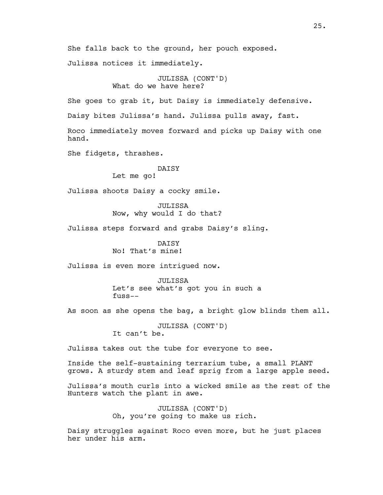She falls back to the ground, her pouch exposed.

Julissa notices it immediately.

JULISSA (CONT'D) What do we have here?

She goes to grab it, but Daisy is immediately defensive.

Daisy bites Julissa's hand. Julissa pulls away, fast.

Roco immediately moves forward and picks up Daisy with one hand.

She fidgets, thrashes.

# DAISY

Let me go!

Julissa shoots Daisy a cocky smile.

JULISSA Now, why would I do that?

Julissa steps forward and grabs Daisy's sling.

DATSY No! That's mine!

Julissa is even more intrigued now.

JULISSA Let's see what's got you in such a fuss--

As soon as she opens the bag, a bright glow blinds them all.

JULISSA (CONT'D) It can't be.

Julissa takes out the tube for everyone to see.

Inside the self-sustaining terrarium tube, a small PLANT grows. A sturdy stem and leaf sprig from a large apple seed.

Julissa's mouth curls into a wicked smile as the rest of the Hunters watch the plant in awe.

> JULISSA (CONT'D) Oh, you're going to make us rich.

Daisy struggles against Roco even more, but he just places her under his arm.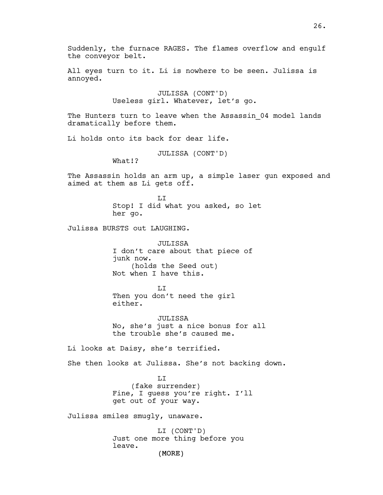(MORE) Suddenly, the furnace RAGES. The flames overflow and engulf the conveyor belt. All eyes turn to it. Li is nowhere to be seen. Julissa is annoyed. JULISSA (CONT'D) Useless girl. Whatever, let's go. The Hunters turn to leave when the Assassin 04 model lands dramatically before them. Li holds onto its back for dear life. JULISSA (CONT'D) What!? The Assassin holds an arm up, a simple laser gun exposed and aimed at them as Li gets off. T<sub>I</sub>T Stop! I did what you asked, so let her go. Julissa BURSTS out LAUGHING. JULISSA I don't care about that piece of junk now. (holds the Seed out) Not when I have this. LI Then you don't need the girl either. JULISSA No, she's just a nice bonus for all the trouble she's caused me. Li looks at Daisy, she's terrified. She then looks at Julissa. She's not backing down. LI (fake surrender) Fine, I guess you're right. I'll get out of your way. Julissa smiles smugly, unaware. LI (CONT'D) Just one more thing before you leave.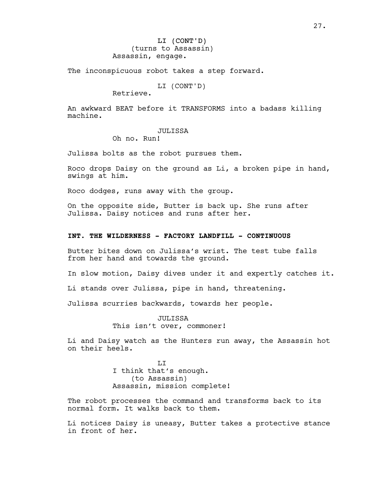# LI (CONT'D) (turns to Assassin) Assassin, engage.

The inconspicuous robot takes a step forward.

LI (CONT'D)

Retrieve.

An awkward BEAT before it TRANSFORMS into a badass killing machine.

### JULISSA

Oh no. Run!

Julissa bolts as the robot pursues them.

Roco drops Daisy on the ground as Li, a broken pipe in hand, swings at him.

Roco dodges, runs away with the group.

On the opposite side, Butter is back up. She runs after Julissa. Daisy notices and runs after her.

### **INT. THE WILDERNESS - FACTORY LANDFILL - CONTINUOUS**

Butter bites down on Julissa's wrist. The test tube falls from her hand and towards the ground.

In slow motion, Daisy dives under it and expertly catches it.

Li stands over Julissa, pipe in hand, threatening.

Julissa scurries backwards, towards her people.

JULISSA This isn't over, commoner!

Li and Daisy watch as the Hunters run away, the Assassin hot on their heels.

> T<sub>I</sub>T I think that's enough. (to Assassin) Assassin, mission complete!

The robot processes the command and transforms back to its normal form. It walks back to them.

Li notices Daisy is uneasy, Butter takes a protective stance in front of her.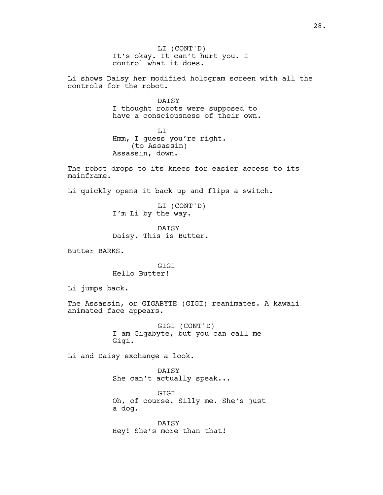LI (CONT'D) It's okay. It can't hurt you. I control what it does.

Li shows Daisy her modified hologram screen with all the controls for the robot.

> DAISY I thought robots were supposed to have a consciousness of their own.

 $T_{\rm L}$ Hmm, I guess you're right. (to Assassin) Assassin, down.

The robot drops to its knees for easier access to its mainframe.

Li quickly opens it back up and flips a switch.

LI (CONT'D) I'm Li by the way.

DATSY Daisy. This is Butter.

Butter BARKS.

**GTGT** Hello Butter!

Li jumps back.

The Assassin, or GIGABYTE (GIGI) reanimates. A kawaii animated face appears.

> GIGI (CONT'D) I am Gigabyte, but you can call me Gigi.

Li and Daisy exchange a look.

DAISY She can't actually speak...

GIGI Oh, of course. Silly me. She's just a dog.

DAISY Hey! She's more than that!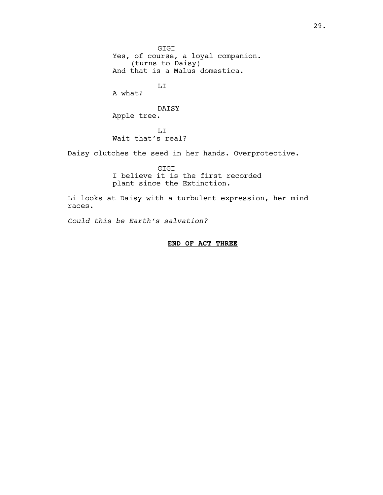GIGI Yes, of course, a loyal companion. (turns to Daisy) And that is a Malus domestica.

LI

A what?

DAISY Apple tree.

LI Wait that's real?

Daisy clutches the seed in her hands. Overprotective.

GIGI I believe it is the first recorded plant since the Extinction.

Li looks at Daisy with a turbulent expression, her mind races.

*Could this be Earth's salvation?*

# **END OF ACT THREE**